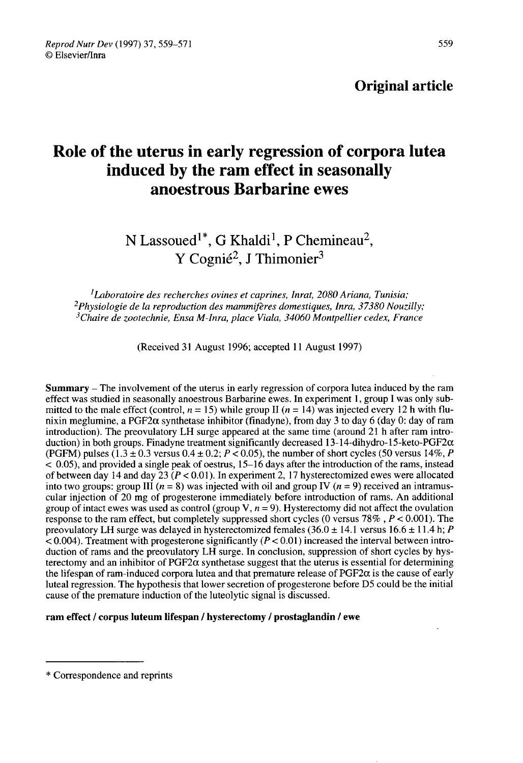# Role of the uterus in early regression of corpora lutea induced by the ram effect in seasonally anoestrous Barbarine ewes Fram effect in season<br>
us Barbarine ewes<br>
G Khaldi<sup>1</sup>, P Chemineau<sup>2</sup><br>
mié<sup>2</sup>, J Thimonier<sup>3</sup>

N Lassoued Y Cognié<sup>2</sup>, J Thimonier<sup>3</sup> d<sup>1\*</sup>, G Khaldi<sup>1</sup>, P Che<br>Cognié<sup>2</sup>, J Thimonier

<sup>1</sup>Laborat<br><sup>2</sup>Physiologie<br><sup>3</sup>Chaire de z  $<sup>1</sup>$ Laboratoire des recherches ovines et caprines, Inrat, 2080 Ariana, Tunisia;</sup> -Physiologie i <sup>1</sup>Lal<br>Physiol?<br><sup>3</sup>Chaire de la reproduction des mammifères domestiques, Inra, 37380 Nouzilly;  $3$ Chaire de zootechnie, Ensa M-Inra, place Viala, 34060 Montpellier cedex, France

(Received 31 August 1996; accepted 11 August 1997)

Summary - The involvement of the uterus in early regression of corpora lutea induced by the ram effect was studied in seasonally anoestrous Barbarine ewes. In experiment 1, group I was only submitted to the male effect (control,  $n = 15$ ) while group II ( $n = 14$ ) was injected every 12 h with flunixin meglumine, a PGF2 $\alpha$  synthetase inhibitor (finadyne), from day 3 to day 6 (day 0: day of ram introduction). The preovulatory LH surge appeared at the same time (around 21 h after ram introduction) in both groups. Finadyne treatment significantly decreased 13-14-dihydro-15-keto-PGF2 $\alpha$ (PGFM) pulses  $(1.3 \pm 0.3 \text{ versus } 0.4 \pm 0.2; P < 0.05)$ , the number of short cycles (50 versus 14%, P  $< 0.05$ ), and provided a single peak of oestrus,  $15-16$  days after the introduction of the rams, instead of between day 14 and day  $\overline{23}$  ( $P < 0.01$ ). In experiment 2, 17 hysterectomized ewes were allocated into two groups: group III ( $n = 8$ ) was injected with oil and group IV ( $n = 9$ ) received an intramuscular injection of 20 mg of progesterone immediately before introduction of rams. An additional group of intact ewes was used as control (group V,  $n = 9$ ). Hysterectomy did not affect the ovulation response to the ram effect, but completely suppressed short cycles (0 versus 78%,  $P < 0.001$ ). The preovulatory LH surge was delayed in hysterectomized females  $(36.0 \pm 14.1 \text{ versus } 16.6 \pm 11.4 \text{ h}; P)$  $< 0.004$ ). Treatment with progesterone significantly ( $P < 0.01$ ) increased the interval between introduction of rams and the preovulatory LH surge. In conclusion, suppression of short cycles by hysterectomy and an inhibitor of  $PGF2\alpha$  synthetase suggest that the uterus is essential for determining the lifespan of ram-induced corpora lutea and that premature release of  $PGF2\alpha$  is the cause of early luteal regression. The hypothesis that lower secretion of progesterone before D5 could be the initial cause of the premature induction of the luteolytic signal is discussed. Iuteal regression. The hypothes<br>cause of the premature induction<br>**Tram effect / corpus luteum lift**<br> **\*** Correspondence and reprints

## ram effect / corpus luteum lifespan / hysterectomy / prostaglandin / ewe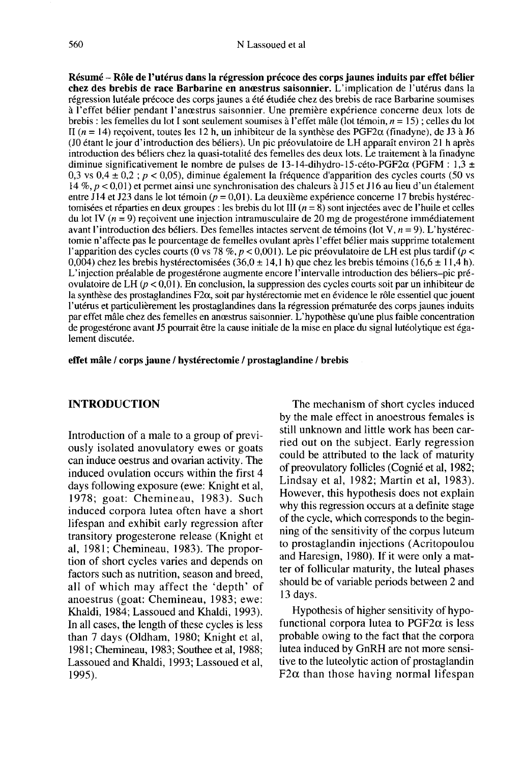Résumé - Rôle de l'utérus dans la régression précoce des corps jaunes induits par effet bélier chez des brebis de race Barbarine en anœstrus saisonnier. L'implication de l'utérus dans la régression lutéale précoce des corps jaunes a été étudiée chez des brebis de race Barbarine soumises à l'effet bélier pendant l'anoestrus saisonnier. Une première expérience concerne deux lots de brebis : les femelles du lot 1 sont seulement soumises à l'effet mâle (lot témoin, n = 15) ; celles du lot II ( $n = 14$ ) reçoivent, toutes les 12 h, un inhibiteur de la synthèse des PGF2 $\alpha$  (finadyne), de J3 à J6 (JO étant le jour d'introduction des béliers). Un pic préovulatoire de LH apparaît environ 21 h après introduction des béliers chez la quasi-totalité des femelles des deux lots. Le traitement à la finadyne diminue significativement le nombre de pulses de 13-14-dihydro-15-céto-PGF2 $\alpha$  (PGFM : 1,3  $\pm$ 0,3 vs  $0.4 \pm 0.2$ ;  $p < 0.05$ ), diminue également la fréquence d'apparition des cycles courts (50 vs 14 %, p < 0,01 ) et permet ainsi une synchronisation des chaleurs à J 15 et J16 au lieu d'un étalement entre J14 et J23 dans le lot témoin ( $p = 0.01$ ). La deuxième expérience concerne 17 brebis hystérectomisées et réparties en deux groupes : les brebis du lot III  $(n = 8)$  sont injectées avec de l'huile et celles du lot IV  $(n = 9)$  recoivent une injection intramusculaire de 20 mg de progestérone immédiatement avant l'introduction des béliers. Des femelles intactes servent de témoins (lot V,  $n = 9$ ). L'hystérectomie n'affecte pas le pourcentage de femelles ovulant après l'effet bélier mais supprime totalement l'apparition des cycles courts (0 vs 78 %, p < 0,001). Le pic préovulatoire de LH est plus tardif (p < 0,004) chez les brebis hystérectomisées  $(36,0 \pm 14,1)$  que chez les brebis témoins  $(16,6 \pm 11,4)$ . L'injection préalable de progestérone augmente encore l'intervalle introduction des béliers-pic préovulatoire de LH (p < 0,01). En conclusion, la suppression des cycles courts soit par un inhibiteur de la synthèse des prostaglandines F2a, soit par hystérectomie met en évidence le rôle essentiel que jouent l'utérus et particulièrement les prostaglandines dans la régression prématurée des corps jaunes induits par effet mâle chez des femelles en anœstrus saisonnier. L'hypothèse qu'une plus faible concentration de progestérone avant J5 pourrait être la cause initiale de la mise en place du signal lutéolytique est également discutée.

effet mâle / corps jaune / hystérectomie / prostaglandine / brebis

# INTRODUCTION

Introduction of a male to a group of previously isolated anovulatory ewes or goats can induce oestrus and ovarian activity. The induced ovulation occurs within the first 4 days following exposure (ewe: Knight et al, 1978; goat: Chemineau, 1983). Such induced corpora lutea often have a short lifespan and exhibit early regression after transitory progesterone release (Knight et al, 1981; Chemineau, 1983). The proportion of short cycles varies and depends on factors such as nutrition, season and breed, all of which may affect the 'depth' of anoestrus (goat: Chemineau, 1983; ewe: Khaldi, 1984; Lassoued and Khaldi, 1993). In all cases, the length of these cycles is less than 7 days (Oldham, 1980; Knight et al, 1981; Chemineau, 1983; Southee et al, 1988; Lassoued and Khaldi, 1993; Lassoued et al, 1995).

The mechanism of short cycles induced by the male effect in anoestrous females is still unknown and little work has been carried out on the subject. Early regression could be attributed to the lack of maturity of preovulatory follicles (Cognié et al, 1982; Lindsay et al, 1982; Martin et al, 1983). However, this hypothesis does not explain why this regression occurs at a definite stage of the cycle, which corresponds to the beginning of the sensitivity of the corpus luteum to prostaglandin injections (Acritopoulou and Haresign, 1980). If it were only a matter of follicular maturity, the luteal phases should be of variable periods between 2 and 13 days.

Hypothesis of higher sensitivity of hypofunctional corpora lutea to  $PGF2\alpha$  is less probable owing to the fact that the corpora lutea induced by GnRH are not more sensitive to the luteolytic action of prostaglandin  $F2\alpha$  than those having normal lifespan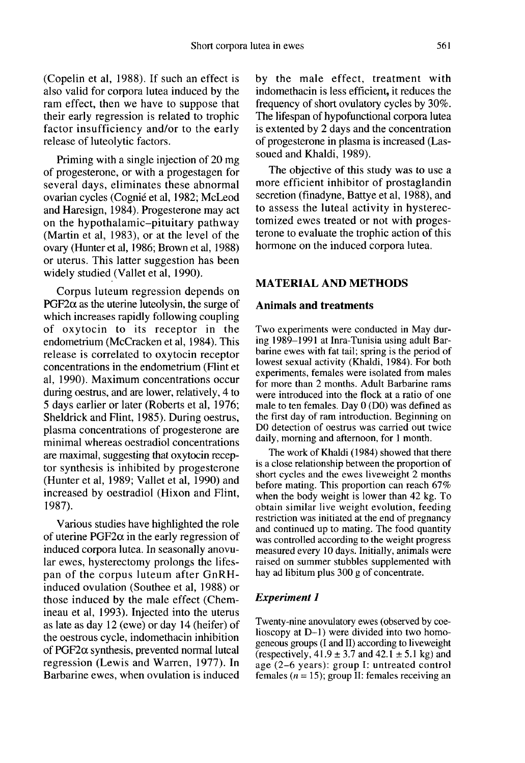(Copelin et al, 1988). If such an effect is also valid for corpora lutea induced by the ram effect, then we have to suppose that their early regression is related to trophic factor insufficiency and/or to the early release of luteolytic factors.

Priming with a single injection of 20 mg of progesterone, or with a progestagen for several days, eliminates these abnormal ovarian cycles (Cogni6 et al, 1982; McLeod and Haresign, 1984). Progesterone may act on the hypothalamic-pituitary pathway (Martin et al, 1983), or at the level of the ovary (Hunter et al, 1986; Brown et al, 1988) or uterus. This latter suggestion has been widely studied (Vallet et al, 1990).

Corpus luteum regression depends on  $PGF2\alpha$  as the uterine luteolysin, the surge of which increases rapidly following coupling of oxytocin to its receptor in the endometrium (McCracken et al, 1984). This release is correlated to oxytocin receptor concentrations in the endometrium (Flint et al, 1990). Maximum concentrations occur during oestrus, and are lower, relatively, 4 to 5 days earlier or later (Roberts et al, 1976; Sheldrick and Flint, 1985). During oestrus, plasma concentrations of progesterone are minimal whereas oestradiol concentrations are maximal, suggesting that oxytocin receptor synthesis is inhibited by progesterone (Hunter et al, 1989; Vallet et al, 1990) and increased by oestradiol (Hixon and Flint, 1987).

Various studies have highlighted the role of uterine  $PGF2\alpha$  in the early regression of induced corpora lutea. In seasonally anovular ewes, hysterectomy prolongs the lifespan of the corpus luteum after GnRHinduced ovulation (Southee et al, 1988) or those induced by the male effect (Chemineau et al, 1993). Injected into the uterus as late as day 12 (ewe) or day 14 (heifer) of the oestrous cycle, indomethacin inhibition of  $PGF2\alpha$  synthesis, prevented normal luteal regression (Lewis and Warren, 1977). In Barbarine ewes, when ovulation is induced by the male effect, treatment with indomethacin is less efficient, it reduces the frequency of short ovulatory cycles by 30%. The lifespan of hypofunctional corpora lutea is extented by 2 days and the concentration of progesterone in plasma is increased (Lassoued and Khaldi, 1989).

The objective of this study was to use a more efficient inhibitor of prostaglandin secretion (finadyne, Battye et al, 1988), and to assess the luteal activity in hysterectomized ewes treated or not with progesterone to evaluate the trophic action of this hormone on the induced corpora lutea.

#### MATERIAL AND METHODS

#### Animals and treatments

Two experiments were conducted in May during 1989-1991 at Inra-Tunisia using adult Barbarine ewes with fat tail; spring is the period of lowest sexual activity (Khaldi, 1984). For both experiments, females were isolated from males for more than 2 months. Adult Barbarine rams were introduced into the flock at a ratio of one male to ten females. Day 0 (DO) was defined as the first day of ram introduction. Beginning on DO detection of oestrus was carried out twice daily, morning and afternoon, for 1 month.

The work of Khaldi (1984) showed that there is a close relationship between the proportion of short cycles and the ewes liveweight 2 months before mating. This proportion can reach 67% when the body weight is lower than 42 kg. To obtain similar live weight evolution, feeding restriction was initiated at the end of pregnancy and continued up to mating. The food quantity was controlled according to the weight progress measured every 10 days. Initially, animals were raised on summer stubbles supplemented with hay ad libitum plus 300 g of concentrate.

#### **Experiment 1**

Twenty-nine anovulatory ewes (observed by coelioscopy at D-1) were divided into two homogeneous groups (I and II) according to liveweight (respectively,  $41.9 \pm 3.7$  and  $42.1 \pm 5.1$  kg) and age (2-6 years): group I: untreated control females ( $n = 15$ ); group II: females receiving an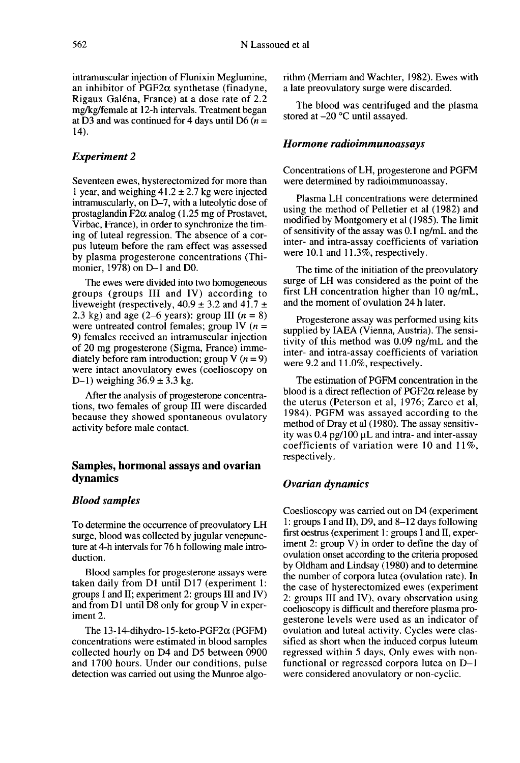intramuscular injection of Flunixin Meglumine, an inhibitor of  $PGF2\alpha$  synthetase (finadyne, Rigaux Galéna, France) at a dose rate of 2.2 mg/kg/female at 12-h intervals. Treatment began at D3 and was continued for 4 days until D6 ( $n =$ 14).

#### Experiment 2

Seventeen ewes, hysterectomized for more than 1 year, and weighing  $41.2 \pm 2.7$  kg were injected intramuscularly, on D-7, with a luteolytic dose of prostaglandin  $F2\alpha$  analog (1.25 mg of Prostavet, Virbac, France), in order to synchronize the timing of luteal regression. The absence of a corpus luteum before the ram effect was assessed by plasma progesterone concentrations (Thimonier, 1978) on D-1 and D0.

The ewes were divided into two homogeneous groups (groups III and IV) according to liveweight (respectively,  $40.9 \pm 3.2$  and  $41.7 \pm 2.3$  kg) and age (2–6 years): group III ( $n = 8$ ) were untreated control females; group IV ( $n =$ 9) females received an intramuscular injection of 20 mg progesterone (Sigma, France) immediately before ram introduction; group V  $(n = 9)$ were intact anovulatory ewes (coelioscopy on D-1) weighing  $36.9 \pm 3.3$  kg.

After the analysis of progesterone concentrations, two females of group III were discarded because they showed spontaneous ovulatory activity before male contact.

## Samples, hormonal assays and ovarian dynamics

#### Blood samples

To determine the occurrence of preovulatory LH surge, blood was collected by jugular venepunc ture at 4-h intervals for 76 h following male introduction.

Blood samples for progesterone assays were taken daily from D1 until D17 (experiment 1: groups I and II; experiment 2: groups III and IV) and from D1 until D8 only for group V in experiment 2.

The  $13-14$ -dihydro-15-keto-PGF2 $\alpha$  (PGFM) concentrations were estimated in blood samples collected hourly on D4 and D5 between 0900 and 1700 hours. Under our conditions, pulse detection was carried out using the Munroe algorithm (Merriam and Wachter, 1982). Ewes with a late preovulatory surge were discarded.

The blood was centrifuged and the plasma stored at -20 °C until assayed.

#### Hormone radioimmunoassays

Concentrations of LH, progesterone and PGFM were determined by radioimmunoassay.

Plasma LH concentrations were determined using the method of Pelletier et al (1982) and modified by Montgomery et al (1985). The limit of sensitivity of the assay was 0.1 ng/mL and the inter- and intra-assay coefficients of variation were 10.1 and 11.3%, respectively.

The time of the initiation of the preovulatory surge of LH was considered as the point of the first LH concentration higher than 10 ng/mL, and the moment of ovulation 24 h later.

Progesterone assay was performed using kits supplied by IAEA (Vienna, Austria). The sensitivity of this method was 0.09 ng/mL and the inter- and intra-assay coefficients of variation were 9.2 and 11.0%, respectively.

The estimation of PGFM concentration in the blood is a direct reflection of  $PGF2\alpha$  release by the uterus (Peterson et al, 1976; Zarco et al, 1984). PGFM was assayed according to the method of Dray et al (1980). The assay sensitivity was  $0.4$  pg/100  $\mu$ L and intra- and inter-assay coefficients of variation were 10 and  $11\%$ , respectively.

#### Ovarian dynamics

Coeslioscopy was carried out on D4 (experiment 1: groups I and II), D9, and 8-12 days following first oestrus (experiment 1: groups I and II, experiment 2: group V) in order to define the day of ovulation onset according to the criteria proposed by Oldham and Lindsay (1980) and to determine the number of corpora lutea (ovulation rate). In the case of hysterectomized ewes (experiment 2: groups III and IV), ovary observation using coelioscopy is difficult and therefore plasma progesterone levels were used as an indicator of ovulation and luteal activity. Cycles were classified as short when the induced corpus luteum regressed within 5 days. Only ewes with nonfunctional or regressed corpora lutea on D-1 were considered anovulatory or non-cyclic.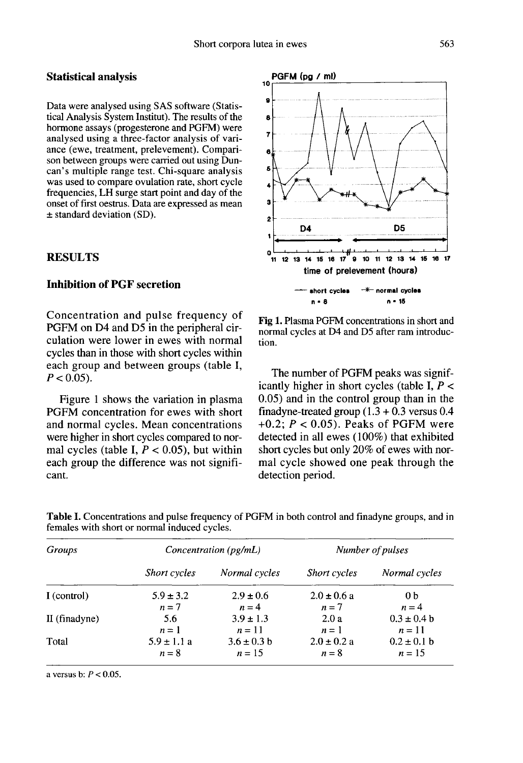#### Statistical analysis

Data were analysed using SAS software (Statistical Analysis System Institut). The results of the hormone assays (progesterone and PGFM) were analysed using a three-factor analysis of variance (ewe, treatment, prelevement). Compari son between groups were carried out using Duncan's multiple range test. Chi-square analysis was used to compare ovulation rate, short cycle frequencies, LH surge start point and day of the onset of first oestrus. Data are expressed as mean ± standard deviation (SD).

## RESULTS

## Inhibition of PGF secretion

Concentration and pulse frequency of PGFM on D4 and D5 in the peripheral circulation were lower in ewes with normal cycles than in those with short cycles within each group and between groups (table I,  $P < 0.05$ ).

Figure 1 shows the variation in plasma PGFM concentration for ewes with short and normal cycles. Mean concentrations were higher in short cycles compared to normal cycles (table I,  $P < 0.05$ ), but within each group the difference was not signifi cant.



Fig 1. Plasma PGFM concentrations in short and normal cycles at D4 and D5 after ram introduction.

The number of PGFM peaks was significantly higher in short cycles (table I,  $P \leq$ 0.05) and in the control group than in the finadyne-treated group  $(1.3 + 0.3$  versus 0.4  $+0.2$ ;  $P < 0.05$ ). Peaks of PGFM were detected in all ewes (100%) that exhibited short cycles but only 20% of ewes with normal cycle showed one peak through the detection period.

| <i>Groups</i> | Concentration $(pg/mL)$  |                           | Number of pulses         |                            |
|---------------|--------------------------|---------------------------|--------------------------|----------------------------|
|               | Short cycles             | Normal cycles             | Short cycles             | Normal cycles              |
| I (control)   | $5.9 \pm 3.2$            | $2.9 \pm 0.6$             | $2.0 \pm 0.6 a$          | 0 <sub>b</sub>             |
| II (finadyne) | $n=7$<br>5.6             | $n = 4$<br>$3.9 \pm 1.3$  | $n=7$<br>2.0a            | $n = 4$<br>$0.3 \pm 0.4 b$ |
|               | $n=1$<br>$5.9 \pm 1.1 a$ | $n=11$                    | $n=1$                    | $n=11$                     |
| Total         | $n=8$                    | $3.6 \pm 0.3 b$<br>$n=15$ | $2.0 \pm 0.2 a$<br>$n=8$ | $0.2 \pm 0.1$ b<br>$n=15$  |

Table I. Concentrations and pulse frequency of PGFM in both control and finadyne groups, and in females with short or normal induced cycles.

a versus b:  $P < 0.05$ .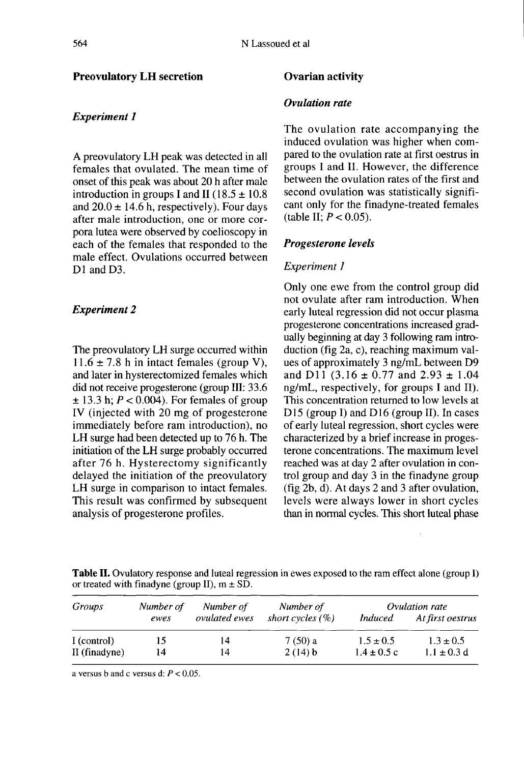## Preovulatory LH secretion

## **Experiment 1**

A preovulatory LH peak was detected in all females that ovulated. The mean time of onset of this peak was about 20 h after male introduction in groups I and II (18.5  $\pm$  10.8) and  $20.0 \pm 14.6$  h, respectively). Four days after male introduction, one or more corpora lutea were observed by coelioscopy in each of the females that responded to the male effect. Ovulations occurred between D<sub>1</sub> and D<sub>3</sub>.

## Experiment 2

The preovulatory LH surge occurred within 11.6  $\pm$  7.8 h in intact females (group V), and later in hysterectomized females which did not receive progesterone (group III: 33.6  $\pm$  13.3 h;  $P < 0.004$ ). For females of group IV (injected with 20 mg of progesterone immediately before ram introduction), no LH surge had been detected up to 76 h. The initiation of the LH surge probably occurred after 76 h. Hysterectomy significantly delayed the initiation of the preovulatory LH surge in comparison to intact females. This result was confirmed by subsequent analysis of progesterone profiles.

#### Ovarian activity

## Ovulation rate

The ovulation rate accompanying the induced ovulation was higher when compared to the ovulation rate at first oestrus in groups I and II. However, the difference between the ovulation rates of the first and second ovulation was statistically signifi cant only for the finadyne-treated females (table II;  $P < 0.05$ ).

## Progesterone levels

#### Experiment I

Only one ewe from the control group did not ovulate after ram introduction. When early luteal regression did not occur plasma progesterone concentrations increased gradually beginning at day 3 following ram introduction (fig 2a, c), reaching maximum values of approximately 3 ng/mL between D9 and D11 (3.16  $\pm$  0.77 and 2.93  $\pm$  1.04 ng/mL, respectively, for groups I and II). This concentration returned to low levels at D<sub>15</sub> (group I) and D<sub>16</sub> (group II). In cases of early luteal regression, short cycles were characterized by a brief increase in progesterone concentrations. The maximum level reached was at day 2 after ovulation in control group and day 3 in the finadyne group (fig 2b, d). At days 2 and 3 after ovulation, levels were always lower in short cycles than in normal cycles. This short luteal phase

Table II. Ovulatory response and luteal regression in ewes exposed to the ram effect alone (group I) or treated with finalyne (group II),  $m \pm SD$ .

| Groups        | Number of | Number of     | Number of           | Ovulation rate  |                  |
|---------------|-----------|---------------|---------------------|-----------------|------------------|
|               | ewes      | ovulated ewes | short cycles $(\%)$ | Induced         | At first oestrus |
| I (control)   | 15        | 14            | 7 (50) a            | $1.5 \pm 0.5$   | $1.3 \pm 0.5$    |
| II (finadyne) | 14        | 14            | 2(14) b             | $1.4 \pm 0.5 c$ | $1.1 \pm 0.3$ d  |

a versus b and c versus d:  $P < 0.05$ .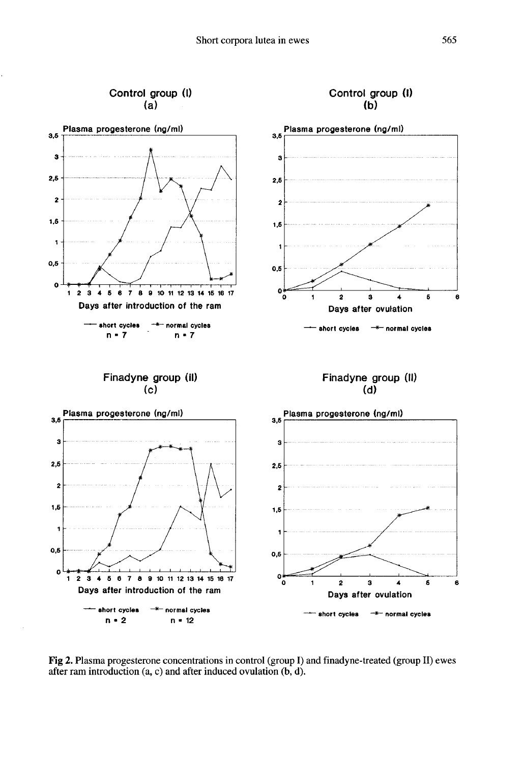

Fig 2. Plasma progesterone concentrations in control (group I) and finadyne-treated (group II) ewes after ram introduction  $(a, c)$  and after induced ovulation  $(b, d)$ .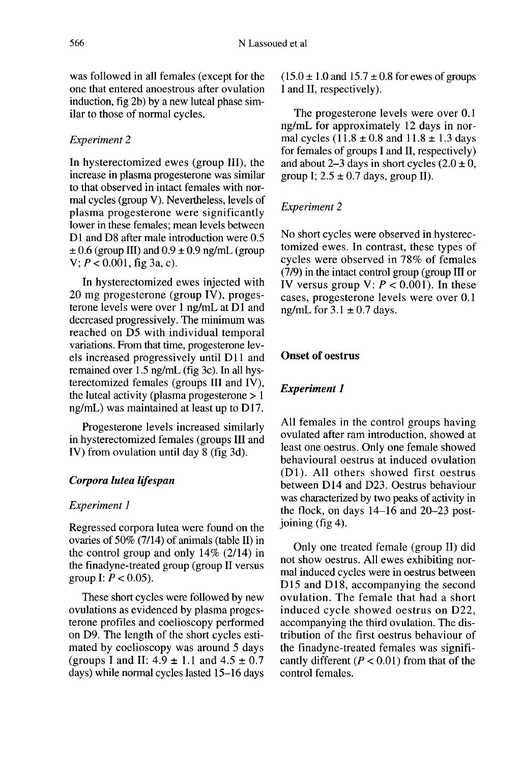was followed in all females (except for the one that entered anoestrous after ovulation induction, fig 2b) by a new luteal phase similar to those of normal cycles.

# Experiment 2

In hysterectomized ewes (group III), the increase in plasma progesterone was similar to that observed in intact females with normal cycles (group V). Nevertheless, levels of plasma progesterone were significantly lower in these females; mean levels between D1 and D8 after male introduction were 0.5  $\pm$  0.6 (group III) and 0.9  $\pm$  0.9 ng/mL (group  $V: P < 0.001$ , fig 3a, c).

In hysterectomized ewes injected with 20 mg progesterone (group IV), progesterone levels were over  $1$  ng/mL at  $D1$  and decreased progressively. The minimum was reached on D5 with individual temporal variations. From that time, progesterone levels increased progressively until D11 and remained over 1.5 ng/mL (fig 3c). In all hysterectomized females (groups III and IV), the luteal activity (plasma progesterone  $> 1$  $ng/mL)$  was maintained at least up to  $D17$ .

Progesterone levels increased similarly in hysterectomized females (groups III and IV) from ovulation until day 8 (fig 3d).

## Corpora lutea lifespan

## Experiment 1

Regressed corpora lutea were found on the ovaries of 50% (7/14) of animals (table II) in the control group and only 14% (2/14) in the finadyne-treated group (group II versus group I:  $P < 0.05$ ).

These short cycles were followed by new ovulations as evidenced by plasma proges terone profiles and coelioscopy performed on D9. The length of the short cycles estimated by coelioscopy was around 5 days (groups I and II:  $4.9 \pm 1.1$  and  $4.5 \pm 0.7$ days) while normal cycles lasted 15-16 days

 $(15.0 \pm 1.0$  and  $15.7 \pm 0.8$  for ewes of groups I and II, respectively).

The progesterone levels were over 0.1 ng/mL for approximately 12 days in normal cycles  $(11.8 \pm 0.8$  and  $11.8 \pm 1.3$  days for females of groups I and II, respectively) and about 2-3 days in short cycles  $(2.0 \pm 0.1)$ group I;  $2.5 \pm 0.7$  days, group II).

# Experiment 2

No short cycles were observed in hysterectomized ewes. In contrast, these types of cycles were observed in 78% of females (7/9) in the intact control group (group III or IV versus group V:  $P < 0.001$ ). In these cases, progesterone levels were over 0.1 ng/mL for  $3.1 \pm 0.7$  days.

# Onset of oestrus

## **Experiment 1**

All females in the control groups having ovulated after ram introduction, showed at least one oestrus. Only one female showed behavioural oestrus at induced ovulation  $(D1)$ . All others showed first oestrus between D14 and D23. Oestrus behaviour was characterized by two peaks of activity in the flock, on days 14-16 and 20-23 postjoining (fig 4).

Only one treated female (group II) did not show oestrus. All ewes exhibiting normal induced cycles were in oestrus between D<sub>15</sub> and D<sub>18</sub>, accompanying the second ovulation. The female that had a short induced cycle showed oestrus on D22, accompanying the third ovulation. The distribution of the first oestrus behaviour of the finadyne-treated females was significantly different ( $P < 0.01$ ) from that of the control females.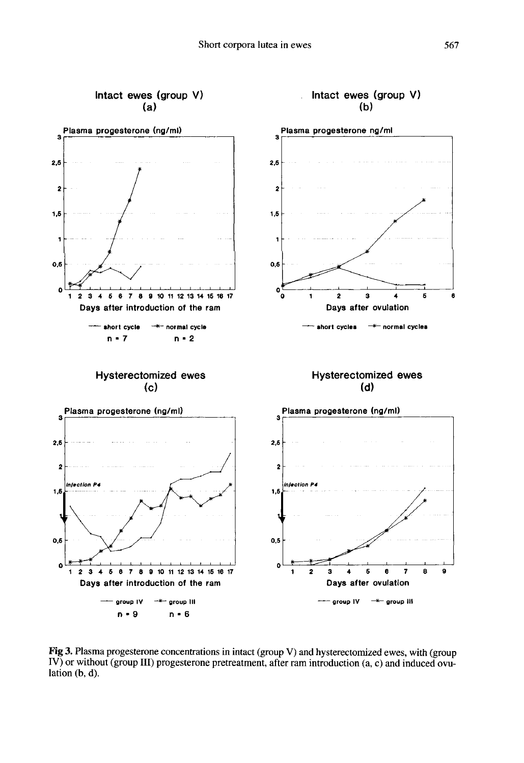

Fig 3. Plasma progesterone concentrations in intact (group V) and hysterectomized ewes, with (group IV) or without (group III) progesterone pretreatment, after ram introduction (a, c) and induced ovulation  $(b, d)$ .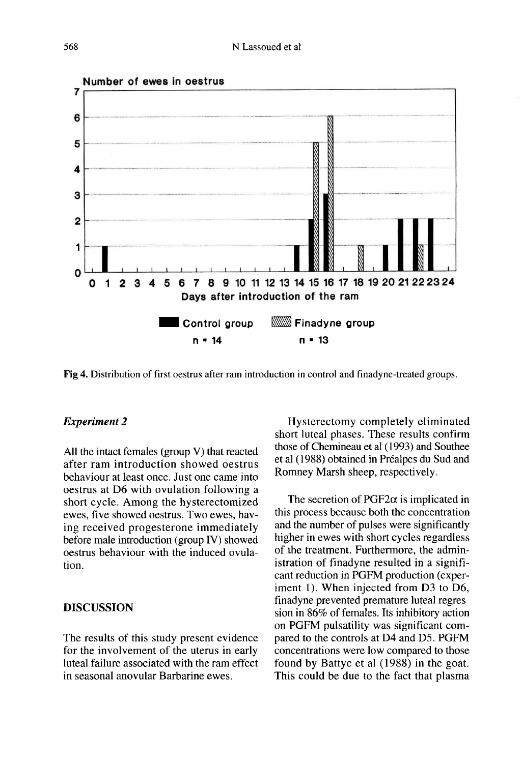

Fig 4. Distribution of first oestrus after ram introduction in control and finadyne-treated groups.

## Experiment 2

All the intact females (group V) that reacted after ram introduction showed oestrus behaviour at least once. Just one came into oestrus at D6 with ovulation following a short cycle. Among the hysterectomized ewes, five showed oestrus. Two ewes, having received progesterone immediately before male introduction (group IV) showed oestrus behaviour with the induced ovulation.

# DISCUSSION

The results of this study present evidence for the involvement of the uterus in early luteal failure associated with the ram effect in seasonal anovular Barbarine ewes.

Hysterectomy completely eliminated short luteal phases. These results confirm those of Chemineau et al (1993) and Southee et al (1988) obtained in Préalpes du Sud and Romney Marsh sheep, respectively.

The secretion of  $PGF2\alpha$  is implicated in this process because both the concentration and the number of pulses were significantly higher in ewes with short cycles regardless of the treatment. Furthermore, the administration of finadyne resulted in a signifi- cant reduction in PGFM production (experiment 1). When injected from D3 to D6, finadyne prevented premature luteal regression in 86% of females. Its inhibitory action on PGFM pulsatility was significant compared to the controls at D4 and D5. PGFM concentrations were low compared to those found by Battye et al (1988) in the goat. This could be due to the fact that plasma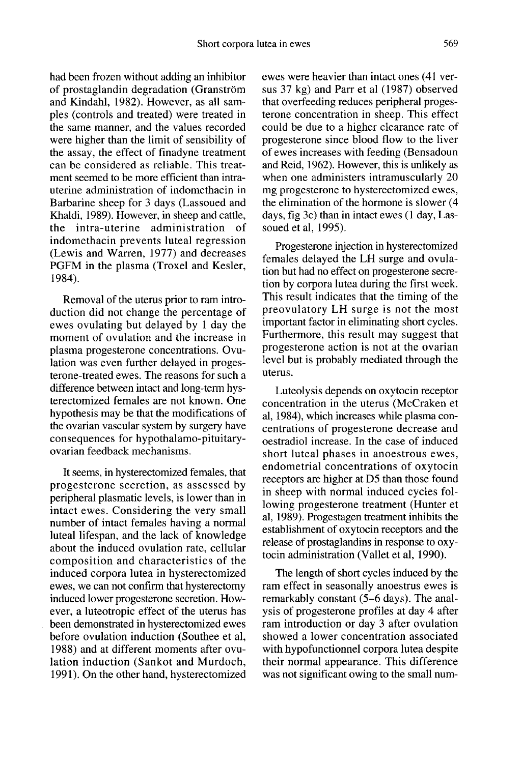had been frozen without adding an inhibitor of prostaglandin degradation (Granström and Kindahl, 1982). However, as all samples (controls and treated) were treated in the same manner, and the values recorded were higher than the limit of sensibility of the assay, the effect of finadyne treatment can be considered as reliable. This treatment seemed to be more efficient than intrauterine administration of indomethacin in Barbarine sheep for 3 days (Lassoued and Khaldi, 1989). However, in sheep and cattle, the intra-uterine administration of indomethacin prevents luteal regression (Lewis and Warren, 1977) and decreases PGFM in the plasma (Troxel and Kesler, 1984).

Removal of the uterus prior to ram introduction did not change the percentage of ewes ovulating but delayed by 1 day the moment of ovulation and the increase in plasma progesterone concentrations. Ovulation was even further delayed in progesterone-treated ewes. The reasons for such a difference between intact and long-term hysterectomized females are not known. One hypothesis may be that the modifications of the ovarian vascular system by surgery have consequences for hypothalamo-pituitaryovarian feedback mechanisms.

It seems, in hysterectomized females, that progesterone secretion, as assessed by peripheral plasmatic levels, is lower than in intact ewes. Considering the very small number of intact females having a normal luteal lifespan, and the lack of knowledge about the induced ovulation rate, cellular composition and characteristics of the induced corpora lutea in hysterectomized ewes, we can not confirm that hysterectomy induced lower progesterone secretion. However, a luteotropic effect of the uterus has been demonstrated in hysterectomized ewes before ovulation induction (Southee et al, 1988) and at different moments after ovulation induction (Sankot and Murdoch, 1991). On the other hand, hysterectomized

ewes were heavier than intact ones (41 versus 37 kg) and Parr et al (1987) observed that overfeeding reduces peripheral progesterone concentration in sheep. This effect could be due to a higher clearance rate of progesterone since blood flow to the liver of ewes increases with feeding (Bensadoun and Reid, 1962). However, this is unlikely as when one administers intramuscularly 20 mg progesterone to hysterectomized ewes, the elimination of the hormone is slower (4 days, fig 3c) than in intact ewes (1 day, Lassoued et al, 1995).

Progesterone injection in hysterectomized females delayed the LH surge and ovulation but had no effect on progesterone secretion by corpora lutea during the first week. This result indicates that the timing of the preovulatory LH surge is not the most important factor in eliminating short cycles. Furthermore, this result may suggest that progesterone action is not at the ovarian level but is probably mediated through the uterus.

Luteolysis depends on oxytocin receptor concentration in the uterus (McCraken et al, 1984), which increases while plasma concentrations of progesterone decrease and oestradiol increase. In the case of induced short luteal phases in anoestrous ewes, endometrial concentrations of oxytocin receptors are higher at D5 than those found in sheep with normal induced cycles following progesterone treatment (Hunter et al, 1989). Progestagen treatment inhibits the establishment of oxytocin receptors and the release of prostaglandins in response to oxytocin administration (Vallet et al, 1990).

The length of short cycles induced by the ram effect in seasonally anoestrus ewes is remarkably constant (5-6 days). The analysis of progesterone profiles at day 4 after ram introduction or day 3 after ovulation showed a lower concentration associated with hypofunctionnel corpora lutea despite their normal appearance. This difference was not significant owing to the small num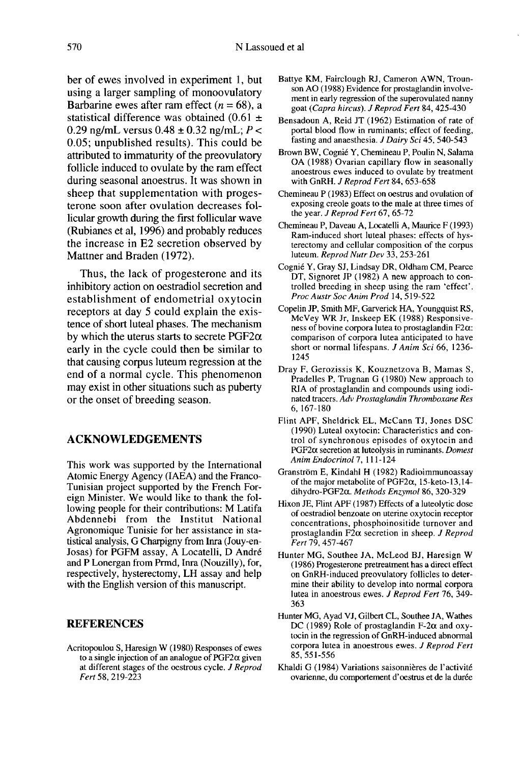ber of ewes involved in experiment 1, but using a larger sampling of monoovulatory Barbarine ewes after ram effect ( $n = 68$ ), a statistical difference was obtained  $(0.61 \pm$ 0.29 ng/mL versus  $0.48 \pm 0.32$  ng/mL;  $P <$ 0.05; unpublished results). This could be attributed to immaturity of the preovulatory follicle induced to ovulate by the ram effect during seasonal anoestrus. It was shown in sheep that supplementation with proges terone soon after ovulation decreases follicular growth during the first follicular wave (Rubianes et al, 1996) and probably reduces the increase in E2 secretion observed by Mattner and Braden (1972).

Thus, the lack of progesterone and its inhibitory action on oestradiol secretion and establishment of endometrial oxytocin receptors at day 5 could explain the existence of short luteal phases. The mechanism by which the uterus starts to secrete  $PGF2\alpha$ early in the cycle could then be similar to that causing corpus luteum regression at the end of a normal cycle. This phenomenon may exist in other situations such as puberty or the onset of breeding season.

## ACKNOWLEDGEMENTS

This work was supported by the International Atomic Energy Agency (IAEA) and the Franco-Tunisian project supported by the French Foreign Minister. We would like to thank the following people for their contributions: M Latifa Abdennebi from the Institut National Agronomique Tunisie for her assistance in statistical analysis, G Charpigny from Inra (Jouy-en-Josas) for PGFM assay, A Locatelli, D André and P Lonergan from Prmd, Inra (Nouzilly), for, respectively, hysterectomy, LH assay and help with the English version of this manuscript.

## REFERENCES

Acritopoulou S, Haresign W (1980) Responses of ewes to a single injection of an analogue of  $PGF2\alpha$  given at different stages of the oestrous cycle. *J Reprod* Fert 58, 219-223

- Battye KM, Fairclough RJ, Cameron AWN, Trounson AO (1988) Evidence for prostaglandin involvement in early regression of the superovulated nanny goat (Capra hircus). J Reprod Fert 84, 425-430
- Bensadoun A, Reid JT ( 1962) Estimation of rate of portal blood flow in ruminants; effect of feeding, fasting and anaesthesia. J Dairy Sci 45, 540-543
- Brown BW, Cogni6 Y, Chemineau P, Poulin N, Salama OA (1988) Ovarian capillary flow in seasonally anoestrous ewes induced to ovulate by treatment with GnRH. J Reprod Fert 84, 653-658
- Chemineau P (1983) Effect on oestrus and ovulation of exposing creole goats to the male at three times of the year. J Reprod Fert 67, 65-72
- Chemineau P, Daveau A, Locatelli A, Maurice F (1993) Ram-induced short luteal phases: effects of hys-<br>terectomy and cellular composition of the corpus luteum. Reprod Nutr Dev 33, 253-261
- Cogni6 Y, Gray SJ, Lindsay DR, Oldham CM, Pearce DT, Signoret JP (1982) A new approach to controlled breeding in sheep using the ram 'effect'. Proc Austr Soc Anim Prod 14, 519-522
- Copelin JP, Smith MF, Garverick HA, Youngquist RS, McVey WR Jr, Inskeep EK (1988) Responsive ness of bovine corpora lutea to prostaglandin  $F2\alpha$ : comparison of corpora lutea anticipated to have short or normal lifespans. J Anim Sci 66, 1236- 1245
- Dray F, Gerozissis K, Kouznetzova B, Mamas S, Pradelles P, Trugnan G (1980) New approach to RIA of prostaglandin and compounds using iodinated tracers. Adv Prostaglandin Thromboxane Res 6, 167-180
- Flint APF, Sheldrick EL, McCann TJ, Jones DSC (1990) Luteal oxytocin: Characteristics and control of synchronous episodes of oxytocin and  $PGF2\alpha$  secretion at luteolysis in ruminants. Domest Anim Endocrinol 7, 111-124
- Granstr6m E, Kindahl H (1982) Radioimmunoassay of the major metabolite of PGF2 $\alpha$ , 15-keto-13,14dihydro-PGF2a. Methods Enzymol 86, 320-329
- Hixon JE, Flint APF (1987) Effects of a luteolytic dose of oestradiol benzoate on uterine oxytocin receptor concentrations, phosphoinositide turnover and prostaglandin F2 $\alpha$  secretion in sheep. J Reprod Fert 79, 457-467
- Hunter MG, Southee JA, McLeod BJ, Haresign W (1986) Progesterone pretreatment has a direct effect on GnRH-induced preovulatory follicles to determine their ability to develop into normal corpora lutea in anoestrous ewes. J Reprod Fert 76, 349- 363
- Hunter MG, Ayad VJ, Gilbert CL, Southee JA, Wathes DC (1989) Role of prostaglandin F-2 $\alpha$  and oxytocin in the regression of GnRH-induced abnormal corpora lutea in anoestrous ewes. J Reprod Fert 85, 551-556
- Khaldi G (1984) Variations saisonnières de l'activité ovarienne, du comportement d'oestrus et de la durée